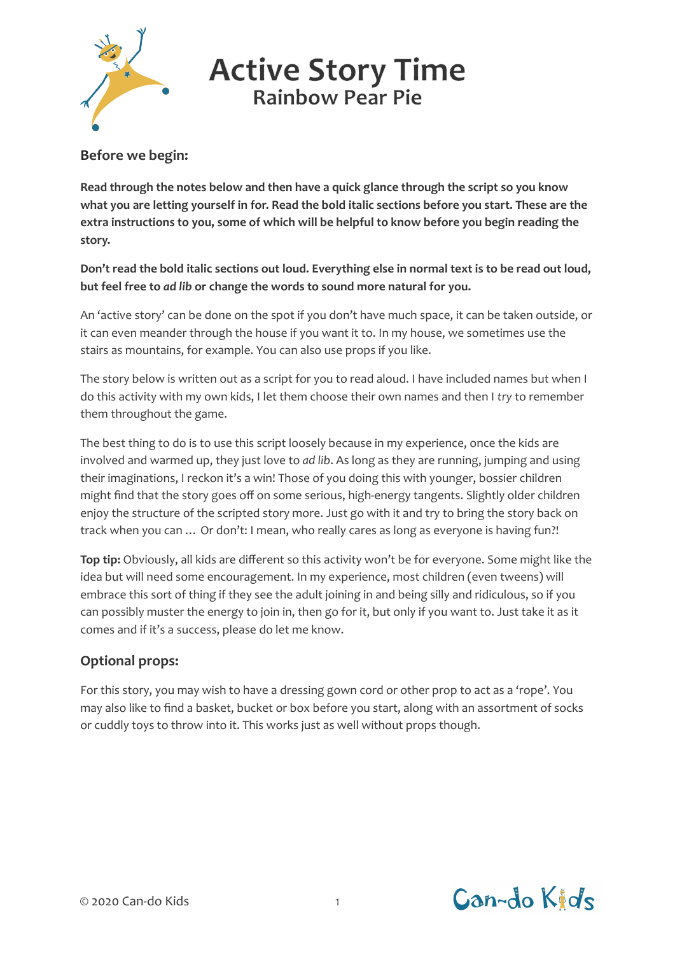

**Active Story Time**

**Rainbow Pear Pie**

## **Before we begin:**

**Read through the notes below and then have a quick glance through the script so you know what you are letting yourself in for. Read the bold italic sections before you start. These are the extra instructions to you, some of which will be helpful to know before you begin reading the story.**

**Don't read the bold italic sections out loud. Everything else in normal text is to be read out loud, but feel free to** *ad lib* **or change the words to sound more natural for you.**

An 'active story' can be done on the spot if you don't have much space, it can be taken outside, or it can even meander through the house if you want it to. In my house, we sometimes use the stairs as mountains, for example. You can also use props if you like.

The story below is written out as a script for you to read aloud. I have included names but when I do this activity with my own kids, I let them choose their own names and then I *try* to remember them throughout the game.

The best thing to do is to use this script loosely because in my experience, once the kids are involved and warmed up, they just love to *ad lib*. As long as they are running, jumping and using their imaginations, I reckon it's a win! Those of you doing this with younger, bossier children might find that the story goes off on some serious, high-energy tangents. Slightly older children enjoy the structure of the scripted story more. Just go with it and try to bring the story back on track when you can … Or don't: I mean, who really cares as long as everyone is having fun?!

**Top tip:** Obviously, all kids are different so this activity won't be for everyone. Some might like the idea but will need some encouragement. In my experience, most children (even tweens) will embrace this sort of thing if they see the adult joining in and being silly and ridiculous, so if you can possibly muster the energy to join in, then go for it, but only if you want to. Just take it as it comes and if it's a success, please do let me know.

## **Optional props:**

For this story, you may wish to have a dressing gown cord or other prop to act as a 'rope'. You may also like to find a basket, bucket or box before you start, along with an assortment of socks or cuddly toys to throw into it. This works just as well without props though.

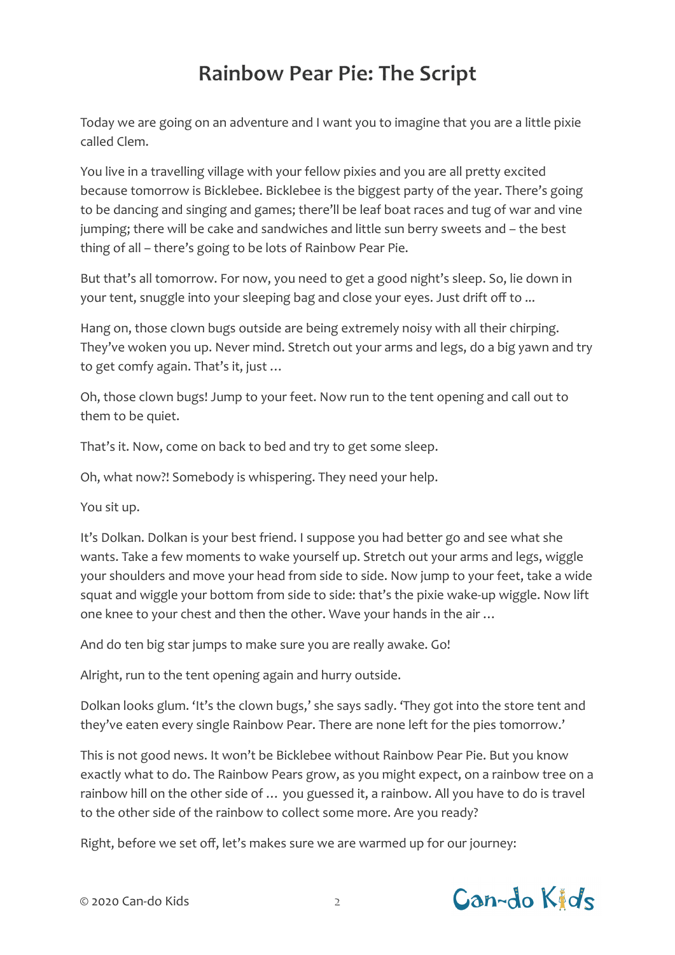# **Rainbow Pear Pie: The Script**

Today we are going on an adventure and I want you to imagine that you are a little pixie called Clem.

You live in a travelling village with your fellow pixies and you are all pretty excited because tomorrow is Bicklebee. Bicklebee is the biggest party of the year. There's going to be dancing and singing and games; there'll be leaf boat races and tug of war and vine jumping; there will be cake and sandwiches and little sun berry sweets and – the best thing of all – there's going to be lots of Rainbow Pear Pie.

But that's all tomorrow. For now, you need to get a good night's sleep. So, lie down in your tent, snuggle into your sleeping bag and close your eyes. Just drift off to ...

Hang on, those clown bugs outside are being extremely noisy with all their chirping. They've woken you up. Never mind. Stretch out your arms and legs, do a big yawn and try to get comfy again. That's it, just …

Oh, those clown bugs! Jump to your feet. Now run to the tent opening and call out to them to be quiet.

That's it. Now, come on back to bed and try to get some sleep.

Oh, what now?! Somebody is whispering. They need your help.

You sit up.

It's Dolkan. Dolkan is your best friend. I suppose you had better go and see what she wants. Take a few moments to wake yourself up. Stretch out your arms and legs, wiggle your shoulders and move your head from side to side. Now jump to your feet, take a wide squat and wiggle your bottom from side to side: that's the pixie wake-up wiggle. Now lift one knee to your chest and then the other. Wave your hands in the air …

And do ten big star jumps to make sure you are really awake. Go!

Alright, run to the tent opening again and hurry outside.

Dolkan looks glum. 'It's the clown bugs,' she says sadly. 'They got into the store tent and they've eaten every single Rainbow Pear. There are none left for the pies tomorrow.'

This is not good news. It won't be Bicklebee without Rainbow Pear Pie. But you know exactly what to do. The Rainbow Pears grow, as you might expect, on a rainbow tree on a rainbow hill on the other side of … you guessed it, a rainbow. All you have to do is travel to the other side of the rainbow to collect some more. Are you ready?

Right, before we set off, let's makes sure we are warmed up for our journey:

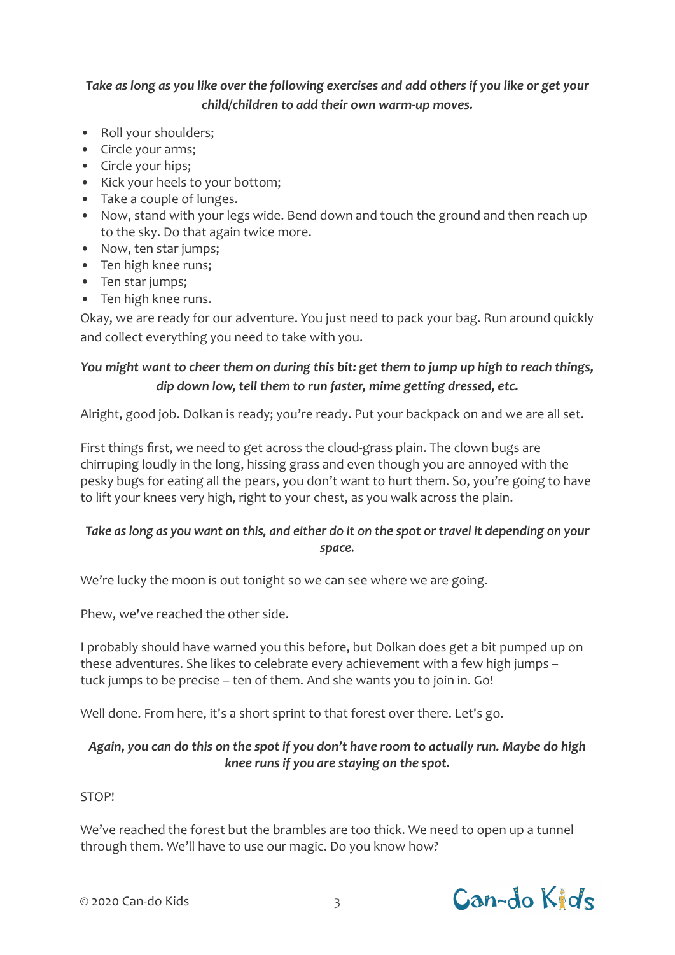## *Take as long as you like over the following exercises and add others if you like or get your child/children to add their own warm-up moves.*

- Roll your shoulders;
- Circle your arms;
- Circle your hips;
- Kick your heels to your bottom;
- Take a couple of lunges.
- Now, stand with your legs wide. Bend down and touch the ground and then reach up to the sky. Do that again twice more.
- Now, ten star jumps;
- Ten high knee runs;
- Ten star jumps;
- Ten high knee runs.

Okay, we are ready for our adventure. You just need to pack your bag. Run around quickly and collect everything you need to take with you.

## *You might want to cheer them on during this bit: get them to jump up high to reach things, dip down low, tell them to run faster, mime getting dressed, etc.*

Alright, good job. Dolkan is ready; you're ready. Put your backpack on and we are all set.

First things first, we need to get across the cloud-grass plain. The clown bugs are chirruping loudly in the long, hissing grass and even though you are annoyed with the pesky bugs for eating all the pears, you don't want to hurt them. So, you're going to have to lift your knees very high, right to your chest, as you walk across the plain.

## *Take as long as you want on this, and either do it on the spot or travel it depending on your space.*

We're lucky the moon is out tonight so we can see where we are going.

Phew, we've reached the other side.

I probably should have warned you this before, but Dolkan does get a bit pumped up on these adventures. She likes to celebrate every achievement with a few high jumps – tuck jumps to be precise – ten of them. And she wants you to join in. Go!

Well done. From here, it's a short sprint to that forest over there. Let's go.

## *Again, you can do this on the spot if you don't have room to actually run. Maybe do high knee runs if you are staying on the spot.*

STOP!

We've reached the forest but the brambles are too thick. We need to open up a tunnel through them. We'll have to use our magic. Do you know how?

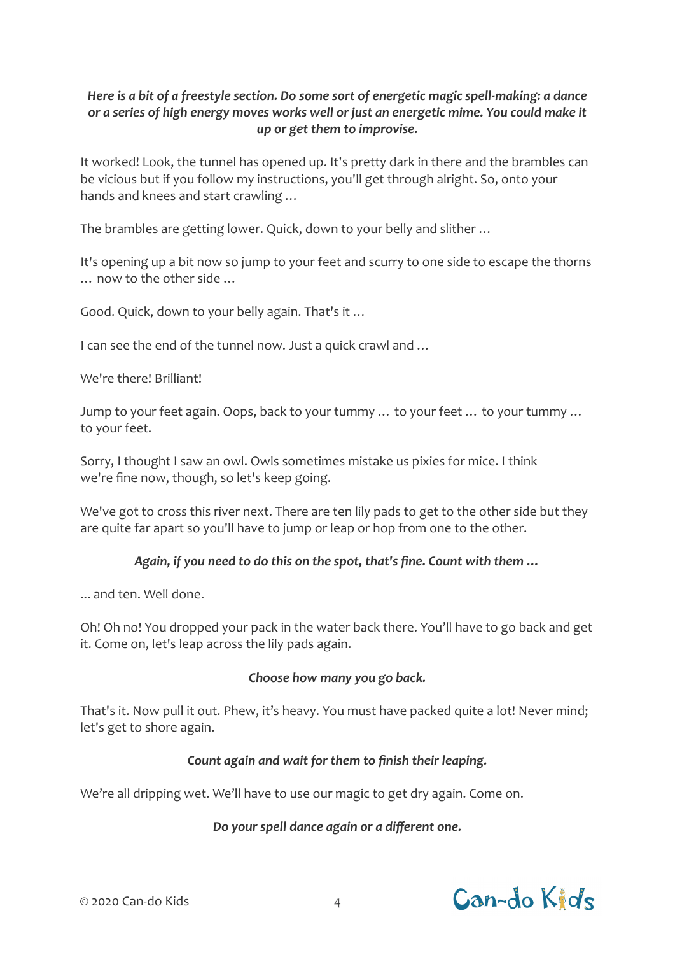## *Here is a bit of a freestyle section. Do some sort of energetic magic spell-making: a dance or a series of high energy moves works well or just an energetic mime. You could make it up or get them to improvise.*

It worked! Look, the tunnel has opened up. It's pretty dark in there and the brambles can be vicious but if you follow my instructions, you'll get through alright. So, onto your hands and knees and start crawling …

The brambles are getting lower. Quick, down to your belly and slither …

It's opening up a bit now so jump to your feet and scurry to one side to escape the thorns … now to the other side …

Good. Quick, down to your belly again. That's it …

I can see the end of the tunnel now. Just a quick crawl and …

We're there! Brilliant!

Jump to your feet again. Oops, back to your tummy … to your feet … to your tummy … to your feet.

Sorry, I thought I saw an owl. Owls sometimes mistake us pixies for mice. I think we're fine now, though, so let's keep going.

We've got to cross this river next. There are ten lily pads to get to the other side but they are quite far apart so you'll have to jump or leap or hop from one to the other.

#### *Again, if you need to do this on the spot, that's fine. Count with them …*

... and ten. Well done.

Oh! Oh no! You dropped your pack in the water back there. You'll have to go back and get it. Come on, let's leap across the lily pads again.

#### *Choose how many you go back.*

That's it. Now pull it out. Phew, it's heavy. You must have packed quite a lot! Never mind; let's get to shore again.

#### *Count again and wait for them to finish their leaping.*

We're all dripping wet. We'll have to use our magic to get dry again. Come on.

#### *Do your spell dance again or a different one.*

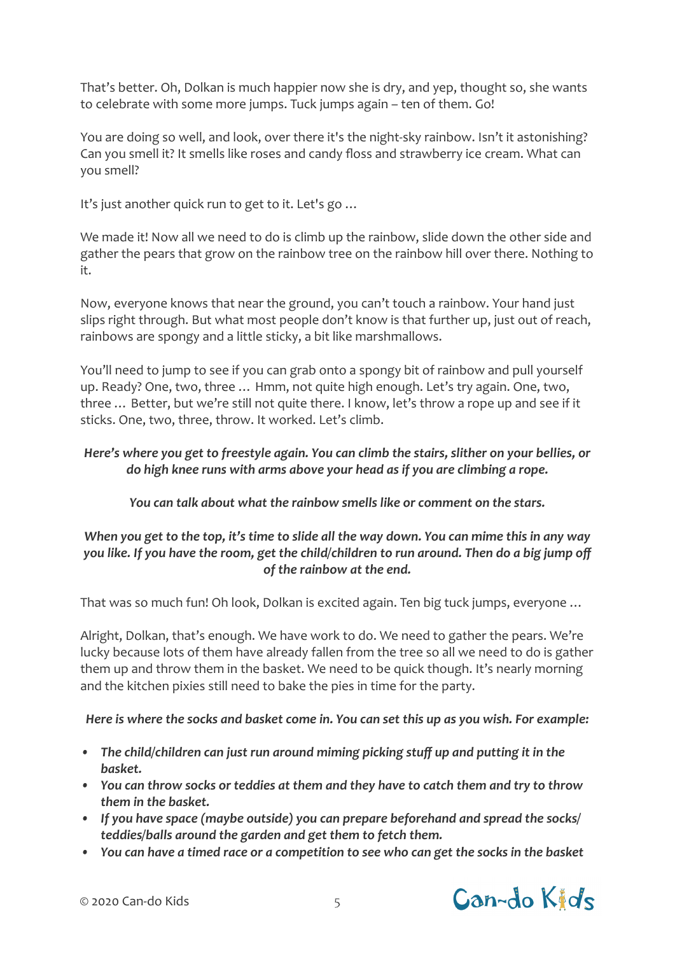That's better. Oh, Dolkan is much happier now she is dry, and yep, thought so, she wants to celebrate with some more jumps. Tuck jumps again – ten of them. Go!

You are doing so well, and look, over there it's the night-sky rainbow. Isn't it astonishing? Can you smell it? It smells like roses and candy floss and strawberry ice cream. What can you smell?

It's just another quick run to get to it. Let's go …

We made it! Now all we need to do is climb up the rainbow, slide down the other side and gather the pears that grow on the rainbow tree on the rainbow hill over there. Nothing to it.

Now, everyone knows that near the ground, you can't touch a rainbow. Your hand just slips right through. But what most people don't know is that further up, just out of reach, rainbows are spongy and a little sticky, a bit like marshmallows.

You'll need to jump to see if you can grab onto a spongy bit of rainbow and pull yourself up. Ready? One, two, three … Hmm, not quite high enough. Let's try again. One, two, three … Better, but we're still not quite there. I know, let's throw a rope up and see if it sticks. One, two, three, throw. It worked. Let's climb.

## *Here's where you get to freestyle again. You can climb the stairs, slither on your bellies, or do high knee runs with arms above your head as if you are climbing a rope.*

## *You can talk about what the rainbow smells like or comment on the stars.*

## *When you get to the top, it's time to slide all the way down. You can mime this in any way you like. If you have the room, get the child/children to run around. Then do a big jump off of the rainbow at the end.*

That was so much fun! Oh look, Dolkan is excited again. Ten big tuck jumps, everyone …

Alright, Dolkan, that's enough. We have work to do. We need to gather the pears. We're lucky because lots of them have already fallen from the tree so all we need to do is gather them up and throw them in the basket. We need to be quick though. It's nearly morning and the kitchen pixies still need to bake the pies in time for the party.

*Here is where the socks and basket come in. You can set this up as you wish. For example:*

- *The child/children can just run around miming picking stuff up and putting it in the basket.*
- *You can throw socks or teddies at them and they have to catch them and try to throw them in the basket.*
- *If you have space (maybe outside) you can prepare beforehand and spread the socks/ teddies/balls around the garden and get them to fetch them.*
- *You can have a timed race or a competition to see who can get the socks in the basket*